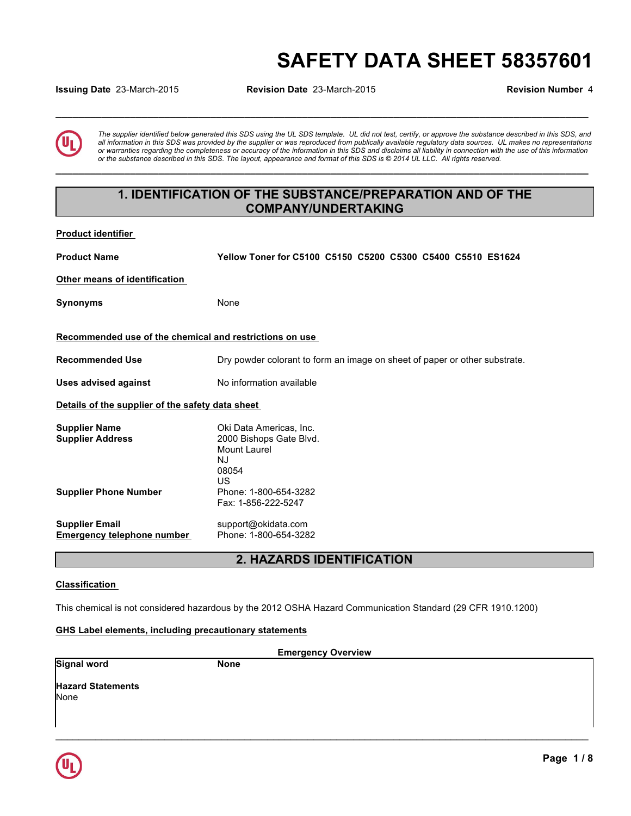# **SAFETY DATA SHEET 58357601**

**Issuing Date** 23-March-2015 **Revision Date** 23-March-2015 **Revision Number** 4

**\_\_\_\_\_\_\_\_\_\_\_\_\_\_\_\_\_\_\_\_\_\_\_\_\_\_\_\_\_\_\_\_\_\_\_\_\_\_\_\_\_\_\_\_\_\_\_\_\_\_\_\_\_\_\_\_\_\_\_\_\_\_\_\_\_\_\_\_\_\_\_\_\_\_\_\_\_\_\_\_\_\_\_\_\_\_\_\_\_\_\_\_\_** 

*The supplier identified below generated this SDS using the UL SDS template. UL did not test, certify, or approve the substance described in this SDS, and all information in this SDS was provided by the supplier or was reproduced from publically available regulatory data sources. UL makes no representations or warranties regarding the completeness or accuracy of the information in this SDS and disclaims all liability in connection with the use of this information or the substance described in this SDS. The layout, appearance and format of this SDS is © 2014 UL LLC. All rights reserved.* 

### **1. IDENTIFICATION OF THE SUBSTANCE/PREPARATION AND OF THE COMPANY/UNDERTAKING**

**\_\_\_\_\_\_\_\_\_\_\_\_\_\_\_\_\_\_\_\_\_\_\_\_\_\_\_\_\_\_\_\_\_\_\_\_\_\_\_\_\_\_\_\_\_\_\_\_\_\_\_\_\_\_\_\_\_\_\_\_\_\_\_\_\_\_\_\_\_\_\_\_\_\_\_\_\_\_\_\_\_\_\_\_\_\_\_\_\_\_\_\_\_** 

| <b>Product identifier</b>                                                       |                                                                                                                  |  |
|---------------------------------------------------------------------------------|------------------------------------------------------------------------------------------------------------------|--|
| <b>Product Name</b>                                                             | Yellow Toner for C5100 C5150 C5200 C5300 C5400 C5510 ES1624                                                      |  |
| Other means of identification                                                   |                                                                                                                  |  |
| <b>Synonyms</b>                                                                 | None                                                                                                             |  |
| Recommended use of the chemical and restrictions on use                         |                                                                                                                  |  |
| <b>Recommended Use</b>                                                          | Dry powder colorant to form an image on sheet of paper or other substrate.                                       |  |
| <b>Uses advised against</b>                                                     | No information available                                                                                         |  |
| Details of the supplier of the safety data sheet                                |                                                                                                                  |  |
| <b>Supplier Name</b><br><b>Supplier Address</b><br><b>Supplier Phone Number</b> | Oki Data Americas, Inc.<br>2000 Bishops Gate Blvd.<br>Mount Laurel<br>NJ<br>08054<br>US<br>Phone: 1-800-654-3282 |  |
|                                                                                 | Fax: 1-856-222-5247                                                                                              |  |
| <b>Supplier Email</b><br><b>Emergency telephone number</b>                      | support@okidata.com<br>Phone: 1-800-654-3282                                                                     |  |
|                                                                                 | <b>2. HAZARDS IDENTIFICATION</b>                                                                                 |  |

#### **Classification**

This chemical is not considered hazardous by the 2012 OSHA Hazard Communication Standard (29 CFR 1910.1200)

#### **GHS Label elements, including precautionary statements**

 $\mathcal{L}_\mathcal{L} = \mathcal{L}_\mathcal{L} = \mathcal{L}_\mathcal{L} = \mathcal{L}_\mathcal{L} = \mathcal{L}_\mathcal{L} = \mathcal{L}_\mathcal{L} = \mathcal{L}_\mathcal{L} = \mathcal{L}_\mathcal{L} = \mathcal{L}_\mathcal{L} = \mathcal{L}_\mathcal{L} = \mathcal{L}_\mathcal{L} = \mathcal{L}_\mathcal{L} = \mathcal{L}_\mathcal{L} = \mathcal{L}_\mathcal{L} = \mathcal{L}_\mathcal{L} = \mathcal{L}_\mathcal{L} = \mathcal{L}_\mathcal{L}$ **Emergency Overview Signal word** None **Hazard Statements** None

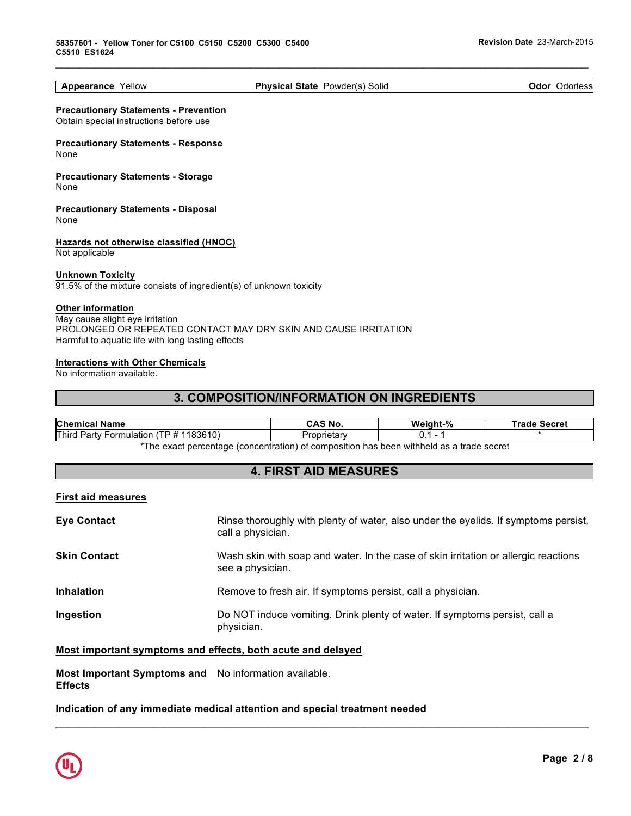**Appearance** Yellow **Physical State** Powder(s) Solid **Odor** Odorless

 $\mathcal{L}_\mathcal{L} = \mathcal{L}_\mathcal{L} = \mathcal{L}_\mathcal{L} = \mathcal{L}_\mathcal{L} = \mathcal{L}_\mathcal{L} = \mathcal{L}_\mathcal{L} = \mathcal{L}_\mathcal{L} = \mathcal{L}_\mathcal{L} = \mathcal{L}_\mathcal{L} = \mathcal{L}_\mathcal{L} = \mathcal{L}_\mathcal{L} = \mathcal{L}_\mathcal{L} = \mathcal{L}_\mathcal{L} = \mathcal{L}_\mathcal{L} = \mathcal{L}_\mathcal{L} = \mathcal{L}_\mathcal{L} = \mathcal{L}_\mathcal{L}$ 

**Precautionary Statements - Prevention** Obtain special instructions before use

**Precautionary Statements - Response** None

**Precautionary Statements - Storage** None

**Precautionary Statements - Disposal** None

**Hazards not otherwise classified (HNOC)** Not applicable

#### **Unknown Toxicity**

91.5% of the mixture consists of ingredient(s) of unknown toxicity

#### **Other information**

May cause slight eye irritation PROLONGED OR REPEATED CONTACT MAY DRY SKIN AND CAUSE IRRITATION Harmful to aquatic life with long lasting effects

#### **Interactions with Other Chemicals**

No information available.

### **3. COMPOSITION/INFORMATION ON INGREDIENTS**

| <b>Chemical Name</b>                                                                     | CAS No. | Weight-% | ⊺rade<br>Secret |
|------------------------------------------------------------------------------------------|---------|----------|-----------------|
| <b>Third</b><br>1183610)<br>"P #<br>∵ Partv .<br><b>Formulation</b>                      |         |          |                 |
| *The ovect perceptage (conceptration) of composition has been withhold as a trade coeret |         |          |                 |

The exact percentage (concentration) of composition has been withheld as a trade secret

### **4. FIRST AID MEASURES**

#### **First aid measures**

| <b>Eye Contact</b>  | Rinse thoroughly with plenty of water, also under the eyelids. If symptoms persist,<br>call a physician. |
|---------------------|----------------------------------------------------------------------------------------------------------|
| <b>Skin Contact</b> | Wash skin with soap and water. In the case of skin irritation or allergic reactions<br>see a physician.  |
| <b>Inhalation</b>   | Remove to fresh air. If symptoms persist, call a physician.                                              |
| Ingestion           | Do NOT induce vomiting. Drink plenty of water. If symptoms persist, call a<br>physician.                 |

 $\mathcal{L}_\mathcal{L} = \mathcal{L}_\mathcal{L} = \mathcal{L}_\mathcal{L} = \mathcal{L}_\mathcal{L} = \mathcal{L}_\mathcal{L} = \mathcal{L}_\mathcal{L} = \mathcal{L}_\mathcal{L} = \mathcal{L}_\mathcal{L} = \mathcal{L}_\mathcal{L} = \mathcal{L}_\mathcal{L} = \mathcal{L}_\mathcal{L} = \mathcal{L}_\mathcal{L} = \mathcal{L}_\mathcal{L} = \mathcal{L}_\mathcal{L} = \mathcal{L}_\mathcal{L} = \mathcal{L}_\mathcal{L} = \mathcal{L}_\mathcal{L}$ 

#### **Most important symptoms and effects, both acute and delayed**

**Most Important Symptoms and**  No information available. **Effects** 

### **Indication of any immediate medical attention and special treatment needed**

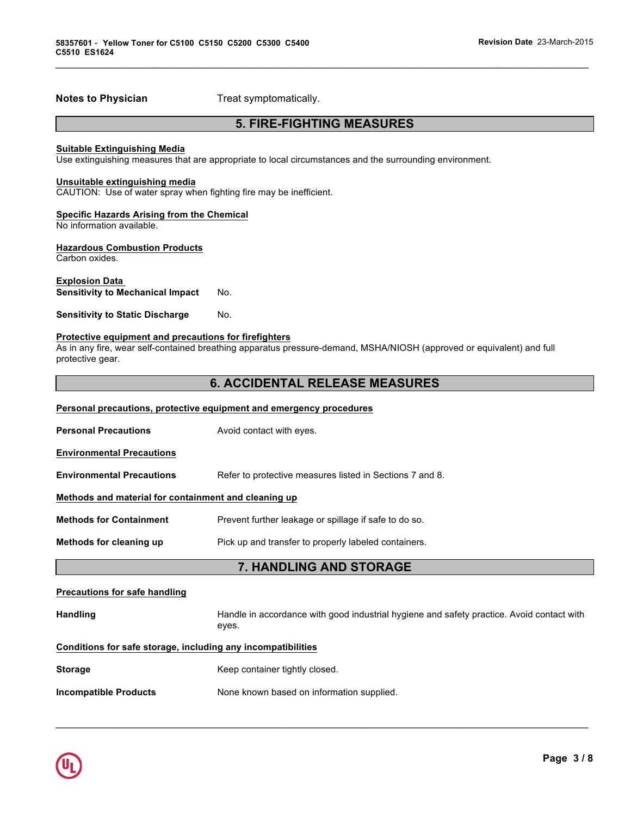**Notes to Physician**  Treat symptomatically.

### **5. FIRE-FIGHTING MEASURES**

 $\mathcal{L}_\mathcal{L} = \mathcal{L}_\mathcal{L} = \mathcal{L}_\mathcal{L} = \mathcal{L}_\mathcal{L} = \mathcal{L}_\mathcal{L} = \mathcal{L}_\mathcal{L} = \mathcal{L}_\mathcal{L} = \mathcal{L}_\mathcal{L} = \mathcal{L}_\mathcal{L} = \mathcal{L}_\mathcal{L} = \mathcal{L}_\mathcal{L} = \mathcal{L}_\mathcal{L} = \mathcal{L}_\mathcal{L} = \mathcal{L}_\mathcal{L} = \mathcal{L}_\mathcal{L} = \mathcal{L}_\mathcal{L} = \mathcal{L}_\mathcal{L}$ 

#### **Suitable Extinguishing Media**

Use extinguishing measures that are appropriate to local circumstances and the surrounding environment.

#### **Unsuitable extinguishing media**

CAUTION: Use of water spray when fighting fire may be inefficient.

#### **Specific Hazards Arising from the Chemical**

No information available.

#### **Hazardous Combustion Products**

Carbon oxides.

#### **Explosion Data**

**Sensitivity to Mechanical Impact** No.

**Sensitivity to Static Discharge Mo.** 

#### **Protective equipment and precautions for firefighters**

As in any fire, wear self-contained breathing apparatus pressure-demand, MSHA/NIOSH (approved or equivalent) and full protective gear.

### **6. ACCIDENTAL RELEASE MEASURES**

#### **Personal precautions, protective equipment and emergency procedures**

| <b>Personal Precautions</b>                          | Avoid contact with eyes.                                 |  |
|------------------------------------------------------|----------------------------------------------------------|--|
| <b>Environmental Precautions</b>                     |                                                          |  |
| <b>Environmental Precautions</b>                     | Refer to protective measures listed in Sections 7 and 8. |  |
| Methods and material for containment and cleaning up |                                                          |  |
| <b>Methods for Containment</b>                       | Prevent further leakage or spillage if safe to do so.    |  |
| Methods for cleaning up                              | Pick up and transfer to properly labeled containers.     |  |
|                                                      |                                                          |  |

### **7. HANDLING AND STORAGE**

### **Precautions for safe handling**

Handling **Handle in accordance with good industrial hygiene and safety practice. Avoid contact with** eyes.

 $\mathcal{L}_\mathcal{L} = \mathcal{L}_\mathcal{L} = \mathcal{L}_\mathcal{L} = \mathcal{L}_\mathcal{L} = \mathcal{L}_\mathcal{L} = \mathcal{L}_\mathcal{L} = \mathcal{L}_\mathcal{L} = \mathcal{L}_\mathcal{L} = \mathcal{L}_\mathcal{L} = \mathcal{L}_\mathcal{L} = \mathcal{L}_\mathcal{L} = \mathcal{L}_\mathcal{L} = \mathcal{L}_\mathcal{L} = \mathcal{L}_\mathcal{L} = \mathcal{L}_\mathcal{L} = \mathcal{L}_\mathcal{L} = \mathcal{L}_\mathcal{L}$ 

### **Conditions for safe storage, including any incompatibilities**

| <b>Storage</b> | Keep container tightly closed. |
|----------------|--------------------------------|
|                |                                |

**Incompatible Products** None known based on information supplied.

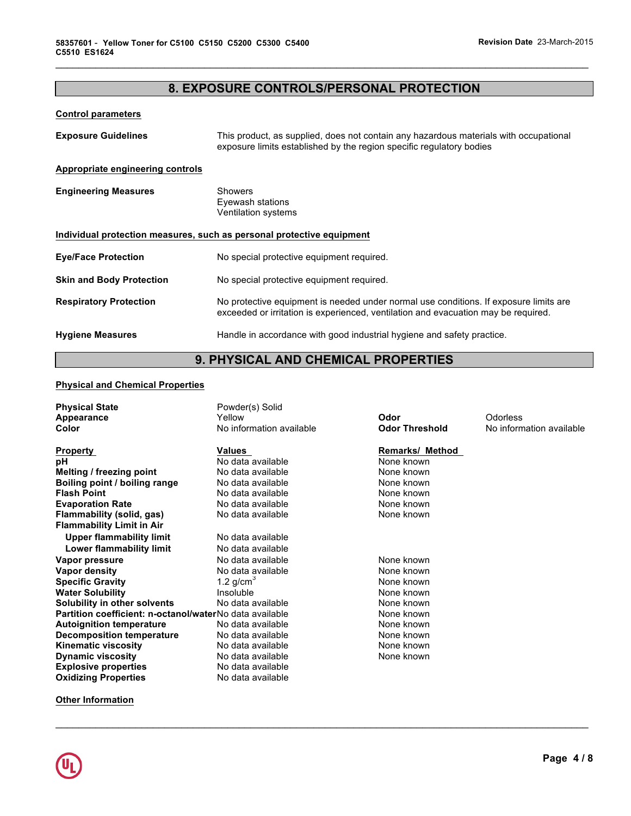### **8. EXPOSURE CONTROLS/PERSONAL PROTECTION**

 $\mathcal{L}_\mathcal{L} = \mathcal{L}_\mathcal{L} = \mathcal{L}_\mathcal{L} = \mathcal{L}_\mathcal{L} = \mathcal{L}_\mathcal{L} = \mathcal{L}_\mathcal{L} = \mathcal{L}_\mathcal{L} = \mathcal{L}_\mathcal{L} = \mathcal{L}_\mathcal{L} = \mathcal{L}_\mathcal{L} = \mathcal{L}_\mathcal{L} = \mathcal{L}_\mathcal{L} = \mathcal{L}_\mathcal{L} = \mathcal{L}_\mathcal{L} = \mathcal{L}_\mathcal{L} = \mathcal{L}_\mathcal{L} = \mathcal{L}_\mathcal{L}$ 

#### **Control parameters**

| <b>Exposure Guidelines</b>                                            | This product, as supplied, does not contain any hazardous materials with occupational<br>exposure limits established by the region specific regulatory bodies               |  |
|-----------------------------------------------------------------------|-----------------------------------------------------------------------------------------------------------------------------------------------------------------------------|--|
| Appropriate engineering controls                                      |                                                                                                                                                                             |  |
| <b>Engineering Measures</b>                                           | Showers<br>Eyewash stations<br>Ventilation systems                                                                                                                          |  |
| Individual protection measures, such as personal protective equipment |                                                                                                                                                                             |  |
| <b>Eye/Face Protection</b>                                            | No special protective equipment required.                                                                                                                                   |  |
| <b>Skin and Body Protection</b>                                       | No special protective equipment required.                                                                                                                                   |  |
| <b>Respiratory Protection</b>                                         | No protective equipment is needed under normal use conditions. If exposure limits are<br>exceeded or irritation is experienced, ventilation and evacuation may be required. |  |
| <b>Hygiene Measures</b>                                               | Handle in accordance with good industrial hygiene and safety practice.                                                                                                      |  |

## **9. PHYSICAL AND CHEMICAL PROPERTIES**

#### **Physical and Chemical Properties**

| <b>Remarks/ Method</b><br><b>Values</b><br><b>Property</b><br>рH<br>No data available<br>None known<br>Melting / freezing point<br>No data available<br>None known<br>Boiling point / boiling range<br>None known<br>No data available<br><b>Flash Point</b><br>None known<br>No data available<br>None known<br><b>Evaporation Rate</b><br>No data available<br>Flammability (solid, gas)<br>None known<br>No data available<br><b>Flammability Limit in Air</b><br><b>Upper flammability limit</b><br>No data available<br>Lower flammability limit<br>No data available<br>None known<br>Vapor pressure<br>No data available<br>Vapor density<br>No data available<br>None known<br>1.2 $g/cm3$<br><b>Specific Gravity</b><br>None known<br><b>Water Solubility</b><br>Insoluble<br>None known<br>Solubility in other solvents<br>No data available<br>None known<br>Partition coefficient: n-octanol/waterNo data available<br>None known<br><b>Autoignition temperature</b><br>None known<br>No data available<br>Decomposition temperature<br>None known<br>No data available | <b>Physical State</b><br>Appearance<br>Color | Powder(s) Solid<br>Yellow<br>No information available | Odor<br><b>Odor Threshold</b> | Odorless<br>No information available |
|-------------------------------------------------------------------------------------------------------------------------------------------------------------------------------------------------------------------------------------------------------------------------------------------------------------------------------------------------------------------------------------------------------------------------------------------------------------------------------------------------------------------------------------------------------------------------------------------------------------------------------------------------------------------------------------------------------------------------------------------------------------------------------------------------------------------------------------------------------------------------------------------------------------------------------------------------------------------------------------------------------------------------------------------------------------------------------------|----------------------------------------------|-------------------------------------------------------|-------------------------------|--------------------------------------|
| <b>Dynamic viscosity</b><br>None known<br>No data available<br><b>Explosive properties</b><br>No data available<br><b>Oxidizing Properties</b><br>No data available                                                                                                                                                                                                                                                                                                                                                                                                                                                                                                                                                                                                                                                                                                                                                                                                                                                                                                                 | Kinematic viscosity                          | No data available                                     | None known                    |                                      |

 $\mathcal{L}_\mathcal{L} = \mathcal{L}_\mathcal{L} = \mathcal{L}_\mathcal{L} = \mathcal{L}_\mathcal{L} = \mathcal{L}_\mathcal{L} = \mathcal{L}_\mathcal{L} = \mathcal{L}_\mathcal{L} = \mathcal{L}_\mathcal{L} = \mathcal{L}_\mathcal{L} = \mathcal{L}_\mathcal{L} = \mathcal{L}_\mathcal{L} = \mathcal{L}_\mathcal{L} = \mathcal{L}_\mathcal{L} = \mathcal{L}_\mathcal{L} = \mathcal{L}_\mathcal{L} = \mathcal{L}_\mathcal{L} = \mathcal{L}_\mathcal{L}$ 

**Other Information**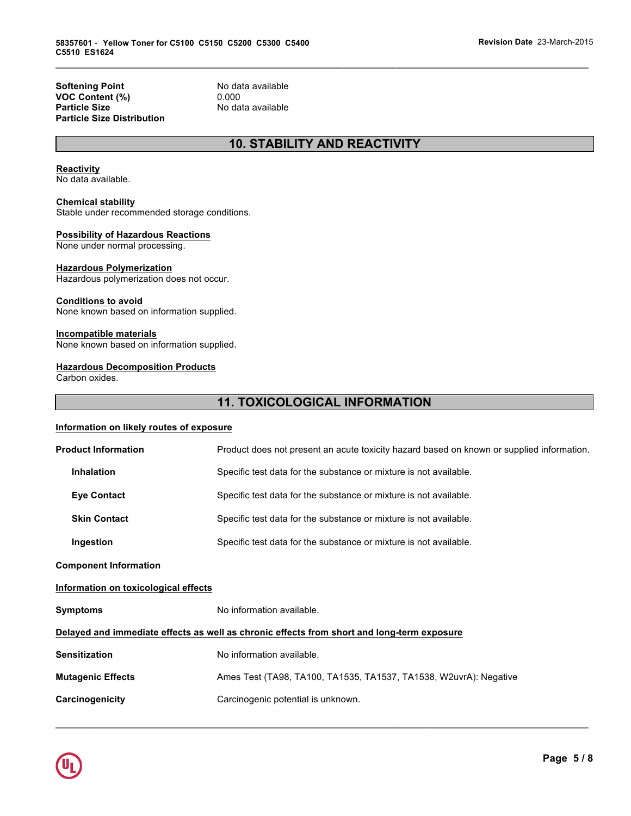**Softening Point No data available**<br> **VOC Content (%)** 0.000 **VOC Content (%)**<br>Particle Size **Particle Size Distribution** 

**Particle Size** No data available

### **10. STABILITY AND REACTIVITY**

 $\mathcal{L}_\mathcal{L} = \mathcal{L}_\mathcal{L} = \mathcal{L}_\mathcal{L} = \mathcal{L}_\mathcal{L} = \mathcal{L}_\mathcal{L} = \mathcal{L}_\mathcal{L} = \mathcal{L}_\mathcal{L} = \mathcal{L}_\mathcal{L} = \mathcal{L}_\mathcal{L} = \mathcal{L}_\mathcal{L} = \mathcal{L}_\mathcal{L} = \mathcal{L}_\mathcal{L} = \mathcal{L}_\mathcal{L} = \mathcal{L}_\mathcal{L} = \mathcal{L}_\mathcal{L} = \mathcal{L}_\mathcal{L} = \mathcal{L}_\mathcal{L}$ 

#### **Reactivity**

No data available.

#### **Chemical stability**

Stable under recommended storage conditions.

#### **Possibility of Hazardous Reactions**

None under normal processing.

#### **Hazardous Polymerization**

Hazardous polymerization does not occur.

#### **Conditions to avoid**

None known based on information supplied.

#### **Incompatible materials**

None known based on information supplied.

#### **Hazardous Decomposition Products**

Carbon oxides.

### **11. TOXICOLOGICAL INFORMATION**

#### **Information on likely routes of exposure**

| <b>Product Information</b>                                                                 | Product does not present an acute toxicity hazard based on known or supplied information. |  |
|--------------------------------------------------------------------------------------------|-------------------------------------------------------------------------------------------|--|
| <b>Inhalation</b>                                                                          | Specific test data for the substance or mixture is not available.                         |  |
| <b>Eye Contact</b>                                                                         | Specific test data for the substance or mixture is not available.                         |  |
| <b>Skin Contact</b>                                                                        | Specific test data for the substance or mixture is not available.                         |  |
| Ingestion                                                                                  | Specific test data for the substance or mixture is not available.                         |  |
| <b>Component Information</b>                                                               |                                                                                           |  |
| Information on toxicological effects                                                       |                                                                                           |  |
| <b>Symptoms</b>                                                                            | No information available.                                                                 |  |
| Delayed and immediate effects as well as chronic effects from short and long-term exposure |                                                                                           |  |
| <b>Sensitization</b>                                                                       | No information available.                                                                 |  |
| <b>Mutagenic Effects</b>                                                                   | Ames Test (TA98, TA100, TA1535, TA1537, TA1538, W2uvrA): Negative                         |  |
| Carcinogenicity                                                                            | Carcinogenic potential is unknown.                                                        |  |
|                                                                                            |                                                                                           |  |

 $\mathcal{L}_\mathcal{L} = \mathcal{L}_\mathcal{L} = \mathcal{L}_\mathcal{L} = \mathcal{L}_\mathcal{L} = \mathcal{L}_\mathcal{L} = \mathcal{L}_\mathcal{L} = \mathcal{L}_\mathcal{L} = \mathcal{L}_\mathcal{L} = \mathcal{L}_\mathcal{L} = \mathcal{L}_\mathcal{L} = \mathcal{L}_\mathcal{L} = \mathcal{L}_\mathcal{L} = \mathcal{L}_\mathcal{L} = \mathcal{L}_\mathcal{L} = \mathcal{L}_\mathcal{L} = \mathcal{L}_\mathcal{L} = \mathcal{L}_\mathcal{L}$ 

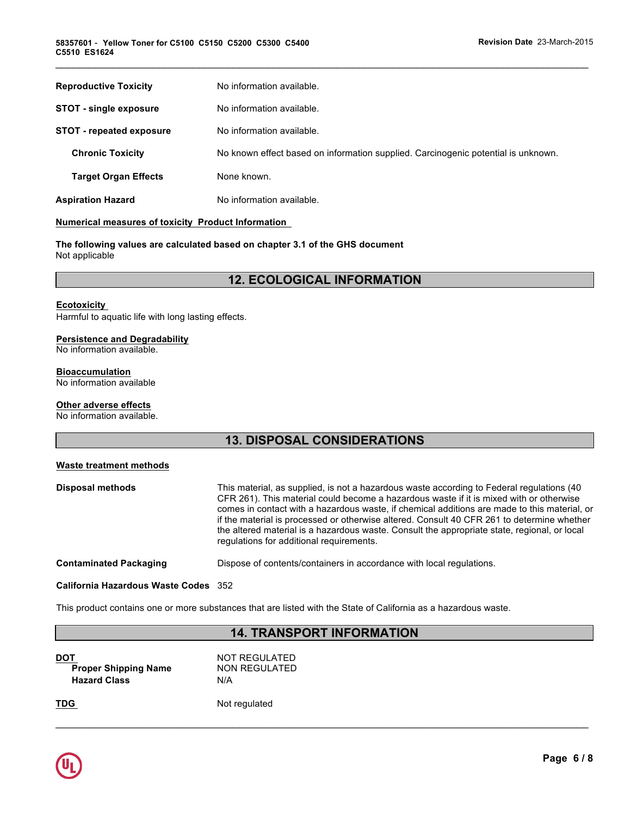| <b>Reproductive Toxicity</b>    | No information available.                                                         |
|---------------------------------|-----------------------------------------------------------------------------------|
| <b>STOT - single exposure</b>   | No information available.                                                         |
| <b>STOT - repeated exposure</b> | No information available.                                                         |
| <b>Chronic Toxicity</b>         | No known effect based on information supplied. Carcinogenic potential is unknown. |
| <b>Target Organ Effects</b>     | None known.                                                                       |
| <b>Aspiration Hazard</b>        | No information available.                                                         |

 $\mathcal{L}_\mathcal{L} = \mathcal{L}_\mathcal{L} = \mathcal{L}_\mathcal{L} = \mathcal{L}_\mathcal{L} = \mathcal{L}_\mathcal{L} = \mathcal{L}_\mathcal{L} = \mathcal{L}_\mathcal{L} = \mathcal{L}_\mathcal{L} = \mathcal{L}_\mathcal{L} = \mathcal{L}_\mathcal{L} = \mathcal{L}_\mathcal{L} = \mathcal{L}_\mathcal{L} = \mathcal{L}_\mathcal{L} = \mathcal{L}_\mathcal{L} = \mathcal{L}_\mathcal{L} = \mathcal{L}_\mathcal{L} = \mathcal{L}_\mathcal{L}$ 

#### **Numerical measures of toxicity Product Information**

**The following values are calculated based on chapter 3.1 of the GHS document** Not applicable

### **12. ECOLOGICAL INFORMATION**

#### **Ecotoxicity**

Harmful to aquatic life with long lasting effects.

#### **Persistence and Degradability**

No information available.

### **Bioaccumulation**

No information available

#### **Other adverse effects**

No information available.

### **13. DISPOSAL CONSIDERATIONS**

#### **Waste treatment methods**

| Disposal methods              | This material, as supplied, is not a hazardous waste according to Federal regulations (40<br>CFR 261). This material could become a hazardous waste if it is mixed with or otherwise<br>comes in contact with a hazardous waste, if chemical additions are made to this material, or<br>if the material is processed or otherwise altered. Consult 40 CFR 261 to determine whether<br>the altered material is a hazardous waste. Consult the appropriate state, regional, or local<br>regulations for additional requirements. |
|-------------------------------|--------------------------------------------------------------------------------------------------------------------------------------------------------------------------------------------------------------------------------------------------------------------------------------------------------------------------------------------------------------------------------------------------------------------------------------------------------------------------------------------------------------------------------|
| <b>Contaminated Packaging</b> | Dispose of contents/containers in accordance with local regulations.                                                                                                                                                                                                                                                                                                                                                                                                                                                           |

### **California Hazardous Waste Codes** 352

This product contains one or more substances that are listed with the State of California as a hazardous waste.

### **14. TRANSPORT INFORMATION**

 $\mathcal{L}_\mathcal{L} = \mathcal{L}_\mathcal{L} = \mathcal{L}_\mathcal{L} = \mathcal{L}_\mathcal{L} = \mathcal{L}_\mathcal{L} = \mathcal{L}_\mathcal{L} = \mathcal{L}_\mathcal{L} = \mathcal{L}_\mathcal{L} = \mathcal{L}_\mathcal{L} = \mathcal{L}_\mathcal{L} = \mathcal{L}_\mathcal{L} = \mathcal{L}_\mathcal{L} = \mathcal{L}_\mathcal{L} = \mathcal{L}_\mathcal{L} = \mathcal{L}_\mathcal{L} = \mathcal{L}_\mathcal{L} = \mathcal{L}_\mathcal{L}$ 

| NOT REGULATED |
|---------------|
| NON REGULATED |
| N/A           |
|               |

**TDG** Not regulated

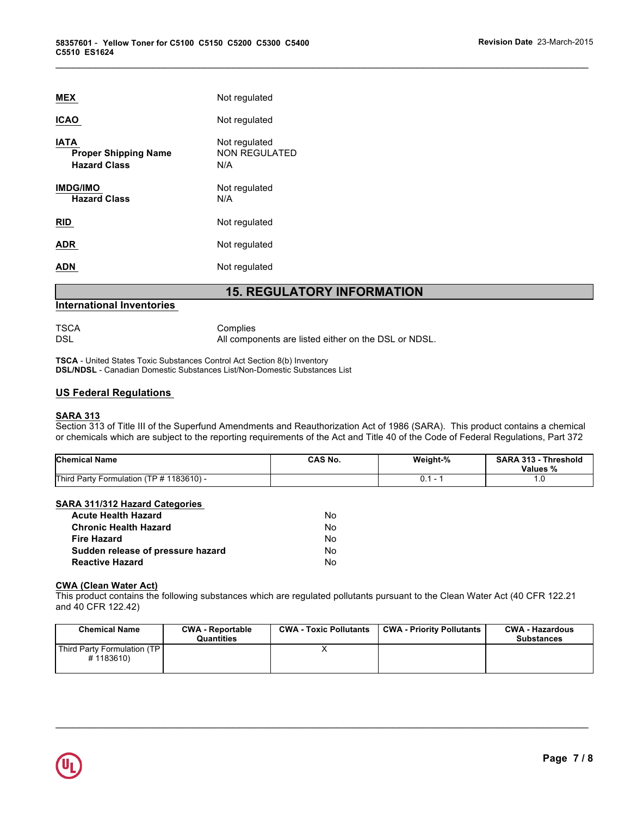| <b>MEX</b>                                                        | Not regulated                         |
|-------------------------------------------------------------------|---------------------------------------|
| <b>ICAO</b>                                                       | Not regulated                         |
| <b>IATA</b><br><b>Proper Shipping Name</b><br><b>Hazard Class</b> | Not regulated<br>NON REGULATED<br>N/A |
| <b>IMDG/IMO</b><br><b>Hazard Class</b>                            | Not regulated<br>N/A                  |
| <b>RID</b>                                                        | Not regulated                         |
| <b>ADR</b>                                                        | Not regulated                         |
| ADN                                                               | Not regulated                         |

### **15. REGULATORY INFORMATION**

 $\mathcal{L}_\mathcal{L} = \mathcal{L}_\mathcal{L} = \mathcal{L}_\mathcal{L} = \mathcal{L}_\mathcal{L} = \mathcal{L}_\mathcal{L} = \mathcal{L}_\mathcal{L} = \mathcal{L}_\mathcal{L} = \mathcal{L}_\mathcal{L} = \mathcal{L}_\mathcal{L} = \mathcal{L}_\mathcal{L} = \mathcal{L}_\mathcal{L} = \mathcal{L}_\mathcal{L} = \mathcal{L}_\mathcal{L} = \mathcal{L}_\mathcal{L} = \mathcal{L}_\mathcal{L} = \mathcal{L}_\mathcal{L} = \mathcal{L}_\mathcal{L}$ 

#### **International Inventories**

TSCA Complies<br>DSL Million Complies

All components are listed either on the DSL or NDSL.

**TSCA** - United States Toxic Substances Control Act Section 8(b) Inventory **DSL/NDSL** - Canadian Domestic Substances List/Non-Domestic Substances List

#### **US Federal Regulations**

#### **SARA 313**

Section 313 of Title III of the Superfund Amendments and Reauthorization Act of 1986 (SARA). This product contains a chemical or chemicals which are subject to the reporting requirements of the Act and Title 40 of the Code of Federal Regulations, Part 372

| <b>Chemical Name</b>                            | CAS No. | Weight-% | <b>SARA 313</b><br><b>Threshold</b><br>Values % |
|-------------------------------------------------|---------|----------|-------------------------------------------------|
| Third Party Formulation (<br>$(TP # 1183610) -$ |         |          | . .                                             |

### **SARA 311/312 Hazard Categories**

| <b>Acute Health Hazard</b>        | No. |
|-----------------------------------|-----|
| <b>Chronic Health Hazard</b>      | N٥  |
| <b>Fire Hazard</b>                | N٥  |
| Sudden release of pressure hazard | N٥  |
| <b>Reactive Hazard</b>            | N٥  |

#### **CWA (Clean Water Act)**

This product contains the following substances which are regulated pollutants pursuant to the Clean Water Act (40 CFR 122.21 and 40 CFR 122.42)

| <b>Chemical Name</b>                        | <b>CWA - Reportable</b><br><b>Quantities</b> | <b>CWA - Toxic Pollutants</b> | <b>CWA - Priority Pollutants</b> | <b>CWA - Hazardous</b><br><b>Substances</b> |
|---------------------------------------------|----------------------------------------------|-------------------------------|----------------------------------|---------------------------------------------|
| Third Party Formulation (TP I)<br>#1183610) |                                              |                               |                                  |                                             |

 $\mathcal{L}_\mathcal{L} = \mathcal{L}_\mathcal{L} = \mathcal{L}_\mathcal{L} = \mathcal{L}_\mathcal{L} = \mathcal{L}_\mathcal{L} = \mathcal{L}_\mathcal{L} = \mathcal{L}_\mathcal{L} = \mathcal{L}_\mathcal{L} = \mathcal{L}_\mathcal{L} = \mathcal{L}_\mathcal{L} = \mathcal{L}_\mathcal{L} = \mathcal{L}_\mathcal{L} = \mathcal{L}_\mathcal{L} = \mathcal{L}_\mathcal{L} = \mathcal{L}_\mathcal{L} = \mathcal{L}_\mathcal{L} = \mathcal{L}_\mathcal{L}$